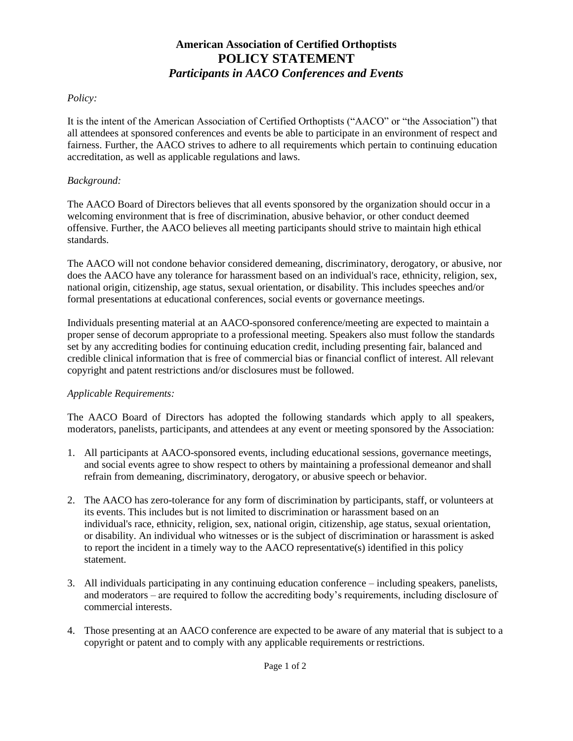# **American Association of Certified Orthoptists POLICY STATEMENT** *Participants in AACO Conferences and Events*

## *Policy:*

It is the intent of the American Association of Certified Orthoptists ("AACO" or "the Association") that all attendees at sponsored conferences and events be able to participate in an environment of respect and fairness. Further, the AACO strives to adhere to all requirements which pertain to continuing education accreditation, as well as applicable regulations and laws.

## *Background:*

The AACO Board of Directors believes that all events sponsored by the organization should occur in a welcoming environment that is free of discrimination, abusive behavior, or other conduct deemed offensive. Further, the AACO believes all meeting participants should strive to maintain high ethical standards.

The AACO will not condone behavior considered demeaning, discriminatory, derogatory, or abusive, nor does the AACO have any tolerance for harassment based on an individual's race, ethnicity, religion, sex, national origin, citizenship, age status, sexual orientation, or disability. This includes speeches and/or formal presentations at educational conferences, social events or governance meetings.

Individuals presenting material at an AACO-sponsored conference/meeting are expected to maintain a proper sense of decorum appropriate to a professional meeting. Speakers also must follow the standards set by any accrediting bodies for continuing education credit, including presenting fair, balanced and credible clinical information that is free of commercial bias or financial conflict of interest. All relevant copyright and patent restrictions and/or disclosures must be followed.

#### *Applicable Requirements:*

The AACO Board of Directors has adopted the following standards which apply to all speakers, moderators, panelists, participants, and attendees at any event or meeting sponsored by the Association:

- 1. All participants at AACO-sponsored events, including educational sessions, governance meetings, and social events agree to show respect to others by maintaining a professional demeanor and shall refrain from demeaning, discriminatory, derogatory, or abusive speech or behavior.
- 2. The AACO has zero-tolerance for any form of discrimination by participants, staff, or volunteers at its events. This includes but is not limited to discrimination or harassment based on an individual's race, ethnicity, religion, sex, national origin, citizenship, age status, sexual orientation, or disability. An individual who witnesses or is the subject of discrimination or harassment is asked to report the incident in a timely way to the AACO representative(s) identified in this policy statement.
- 3. All individuals participating in any continuing education conference including speakers, panelists, and moderators – are required to follow the accrediting body's requirements, including disclosure of commercial interests.
- 4. Those presenting at an AACO conference are expected to be aware of any material that is subject to a copyright or patent and to comply with any applicable requirements or restrictions.